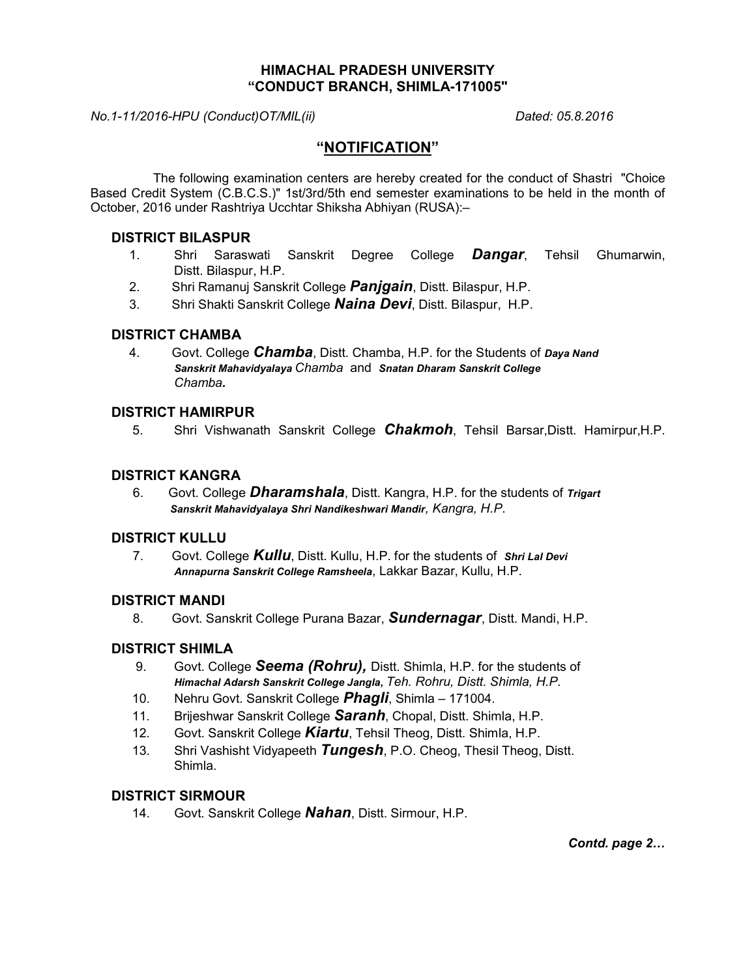## HIMACHAL PRADESH UNIVERSITY "CONDUCT BRANCH, SHIMLA-171005"

## No.1-11/2016-HPU (Conduct)OT/MIL(ii) Dated: 05.8.2016

# "NOTIFICATION"

The following examination centers are hereby created for the conduct of Shastri "Choice Based Credit System (C.B.C.S.)" 1st/3rd/5th end semester examinations to be held in the month of October, 2016 under Rashtriya Ucchtar Shiksha Abhiyan (RUSA):–

## DISTRICT BILASPUR

- 1. Shri Saraswati Sanskrit Degree College **Dangar**, Tehsil Ghumarwin, Distt. Bilaspur, H.P.
- 2. Shri Ramanuj Sanskrit College **Panjgain**, Distt. Bilaspur, H.P.
- 3. Shri Shakti Sanskrit College **Naina Devi**, Distt. Bilaspur, H.P.

## DISTRICT CHAMBA

4. Govt. College *Chamba*, Distt. Chamba, H.P. for the Students of Daya Nand Sanskrit Mahavidyalaya Chamba and Snatan Dharam Sanskrit College Chamba.

## DISTRICT HAMIRPUR

5. Shri Vishwanath Sanskrit College **Chakmoh**, Tehsil Barsar,Distt. Hamirpur,H.P.

## DISTRICT KANGRA

6. Govt. College **Dharamshala**, Distt. Kangra, H.P. for the students of *Trigart* Sanskrit Mahavidyalaya Shri Nandikeshwari Mandir, Kangra, H.P.

## DISTRICT KULLU

7. Govt. College **Kullu**, Distt. Kullu, H.P. for the students of Shri Lal Devi Annapurna Sanskrit College Ramsheela, Lakkar Bazar, Kullu, H.P.

## DISTRICT MANDI

8. Govt. Sanskrit College Purana Bazar, **Sundernagar**, Distt. Mandi, H.P.

## DISTRICT SHIMLA

- 9. Govt. College **Seema (Rohru),** Distt. Shimla, H.P. for the students of Himachal Adarsh Sanskrit College Jangla, Teh. Rohru, Distt. Shimla, H.P.
- 10. Nehru Govt. Sanskrit College *Phagli*, Shimla 171004.
- 11. Brijeshwar Sanskrit College **Saranh**, Chopal, Distt. Shimla, H.P.
- 12. Govt. Sanskrit College Kiartu, Tehsil Theog, Distt. Shimla, H.P.
- 13. Shri Vashisht Vidyapeeth **Tungesh**, P.O. Cheog, Thesil Theog, Distt. Shimla.

## DISTRICT SIRMOUR

14. Govt. Sanskrit College **Nahan**, Distt. Sirmour, H.P.

Contd. page 2…